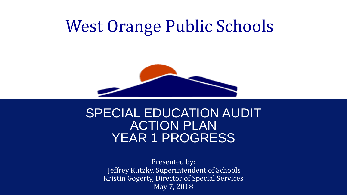# West Orange Public Schools



## SPECIAL EDUCATION AUDIT ACTION PLAN YEAR 1 PROGRESS

Presented by: Jeffrey Rutzky, Superintendent of Schools Kristin Gogerty, Director of Special Services May 7, 2018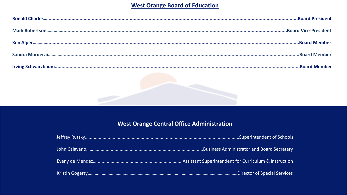#### **West Orange Board of Education**

#### West Orange Central Office Administration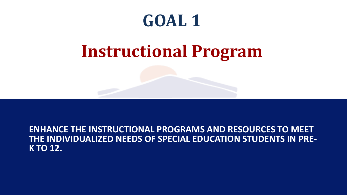# **Instructional Program**

**ENHANCE THE INSTRUCTIONAL PROGRAMS AND RESOURCES TO MEET THE INDIVIDUALIZED NEEDS OF SPECIAL EDUCATION STUDENTS IN PRE- K TO 12.**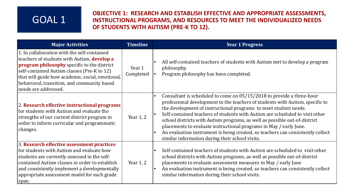#### **OBJECTIVE 1: RESEARCH AND ESTABLISH EFFECTIVE AND APPROPRIATE ASSESSMENTS, INSTRUCTIONAL PROGRAMS, AND RESOURCES TO MEET THE INDIVIDUALIZED NEEDS OF STUDENTS WITH AUTISM (PRE-K TO 12).**

| <b>Major Activities</b>                                                                                                                                                                                                                                                                                             | <b>Timeline</b>     | <b>Year 1 Progress</b>                                                                                                                                                                                                                                                                                                                                                                                                                                                                                                                                                                                                                |
|---------------------------------------------------------------------------------------------------------------------------------------------------------------------------------------------------------------------------------------------------------------------------------------------------------------------|---------------------|---------------------------------------------------------------------------------------------------------------------------------------------------------------------------------------------------------------------------------------------------------------------------------------------------------------------------------------------------------------------------------------------------------------------------------------------------------------------------------------------------------------------------------------------------------------------------------------------------------------------------------------|
| 1. In collaboration with the self-contained<br>teachers of students with Autism, develop a<br>program philosophy specific to the district<br>self-contained Autism classes (Pre-K to 12)<br>that will guide how academic, social, emotional,<br>behavioral, transition, and community based<br>needs are addressed. | Year 1<br>Completed | All self-contained teachers of students with Autism met to develop a program<br>$\bullet$<br>philosophy.<br>Program philosophy has been completed.<br>I۰                                                                                                                                                                                                                                                                                                                                                                                                                                                                              |
| 2. Research effective instructional programs<br>for students with Autism and evaluate the<br>strengths of our current district program in<br>order to inform curricular and programmatic<br>changes.                                                                                                                | Year 1, 2           | Consultant is scheduled to come on 05/15/2018 to provide a three-hour<br>$\bullet$<br>professional development to the teachers of students with Autism, specific to<br>the development of instructional programs to meet student needs.<br>Self-contained teachers of students with Autism are scheduled to visit other<br>l e<br>school districts with Autism programs, as well as possible out-of-district<br>placements to evaluate instructional programs in May / early June.<br>An evaluation instrument is being created, so teachers can consistently collect<br>$\bullet$<br>similar information during their school visits. |
| 3. Research effective assessment practices<br>for students with Autism and evaluate how<br>students are currently assessed in the self-<br>contained Autism classes in order to establish<br>and consistently implement a developmentally<br>appropriate assessment model for each grade<br> span.                  | Year 1, 2           | Self-contained teachers of students with Autism are scheduled to visit other<br>$\bullet$<br>school districts with Autism programs, as well as possible out-of-district<br>placements to evaluate assessment measures in May / early June<br>An evaluation instrument is being created, so teachers can consistently collect<br>l e<br>similar information during their school visits.                                                                                                                                                                                                                                                |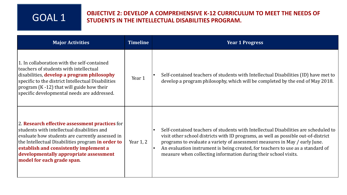#### **OBJECTIVE 2: DEVELOP A COMPREHENSIVE K-12 CURRICULUM TO MEET THE NEEDS OF STUDENTS IN THE INTELLECTUAL DISABILITIES PROGRAM.** GOAL 1

| <b>Major Activities</b>                                                                                                                                                                                                                                                                                                 | <b>Timeline</b> | <b>Year 1 Progress</b>                                                                                                                                                                                                                                                                                                                                                                                        |
|-------------------------------------------------------------------------------------------------------------------------------------------------------------------------------------------------------------------------------------------------------------------------------------------------------------------------|-----------------|---------------------------------------------------------------------------------------------------------------------------------------------------------------------------------------------------------------------------------------------------------------------------------------------------------------------------------------------------------------------------------------------------------------|
| 1. In collaboration with the self-contained<br>teachers of students with intellectual<br>disabilities, develop a program philosophy<br>specific to the district Intellectual Disabilities<br>program $(K - 12)$ that will guide how their<br>specific developmental needs are addressed.                                | Year 1          | Self-contained teachers of students with Intellectual Disabilities (ID) have met to<br>develop a program philosophy, which will be completed by the end of May 2018.                                                                                                                                                                                                                                          |
| 2. Research effective assessment practices for<br>students with intellectual disabilities and<br>evaluate how students are currently assessed in<br>the Intellectual Disabilities program in order to<br>establish and consistently implement a<br>developmentally appropriate assessment<br>model for each grade span. | Year 1, 2       | Self-contained teachers of students with Intellectual Disabilities are scheduled to<br>visit other school districts with ID programs, as well as possible out-of-district<br>programs to evaluate a variety of assessment measures in May / early June.<br>An evaluation instrument is being created, for teachers to use as a standard of<br>measure when collecting information during their school visits. |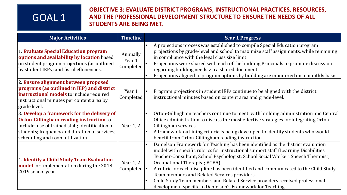#### **OBJECTIVE 3: EVALUATE DISTRICT PROGRAMS, INSTRUCTIONAL PRACTICES, RESOURCES, AND THE PROFESSIONAL DEVELOPMENT STRUCTURE TO ENSURE THE NEEDS OF ALL STUDENTS ARE BEING MET.**

| <b>Major Activities</b>                                                                                                                                                                                                               | <b>Timeline</b>                  | <b>Year 1 Progress</b>                                                                                                                                                                                                                                                                                                                                                                                                                                                                                                                                                             |
|---------------------------------------------------------------------------------------------------------------------------------------------------------------------------------------------------------------------------------------|----------------------------------|------------------------------------------------------------------------------------------------------------------------------------------------------------------------------------------------------------------------------------------------------------------------------------------------------------------------------------------------------------------------------------------------------------------------------------------------------------------------------------------------------------------------------------------------------------------------------------|
| 1. Evaluate Special Education program<br>options and availability by location based<br>on student program projections (as outlined<br>by student IEPs) and fiscal efficiencies.                                                       | Annually<br>Year 1<br>Completed  | A projections process was established to compile Special Education program<br>projections by grade-level and school to maximize staff assignments, while remaining<br>in compliance with the legal class size limit.<br>Projections were shared with each of the building Principals to promote discussion<br>regarding building needs via a shared document.<br>Projections aligned to program options by building are monitored on a monthly basis.                                                                                                                              |
| 2. Ensure alignment between proposed<br>programs (as outlined in IEP) and district<br>instructional models to include required<br>instructional minutes per content area by<br>grade level.                                           | Year 1<br>Completed              | Program projections in student IEPs continue to be aligned with the district<br>instructional minutes based on content area and grade-level.                                                                                                                                                                                                                                                                                                                                                                                                                                       |
| 3. Develop a framework for the delivery of<br><b>Orton-Gillingham reading instruction to</b><br>include: use of trained staff; identification of<br>students; frequency and duration of services;<br>scheduling and room utilization. | Year 1, 2                        | Orton-Gillingham teachers continue to meet with building administration and Central<br>Office administration to discuss the most effective strategies for integrating Orton-<br>Gillingham services.<br>A framework outlining criteria is being developed to identify students who would<br>benefit from Orton-Gillingham reading instruction.                                                                                                                                                                                                                                     |
| 4. Identify a Child Study Team Evaluation<br>model for implementation during the 2018-<br>2019 school year.                                                                                                                           | Year $1, 2$<br>Completed $\cdot$ | Danielson Framework for Teaching has been identified as the district evaluation<br>model with specific rubrics for instructional support staff (Learning Disabilities<br>Teacher-Consultant; School Psychologist; School Social Worker; Speech Therapist;<br>Occupational Therapist; BCBA).<br>A rubric for each discipline has been identified and communicated to the Child Study<br>Team members and Related Services providers.<br>Child Study Team members and Related Service providers received professional<br>development specific to Danielson's Framework for Teaching. |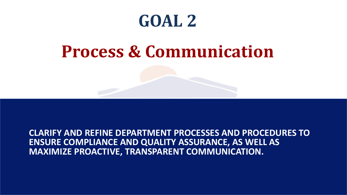# **Process & Communication**

**CLARIFY AND REFINE DEPARTMENT PROCESSES AND PROCEDURES TO ENSURE COMPLIANCE AND QUALITY ASSURANCE, AS WELL AS MAXIMIZE PROACTIVE, TRANSPARENT COMMUNICATION.**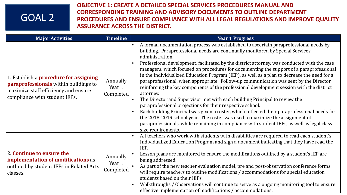**OBJECTIVE 1: CREATE A DETAILED SPECIAL SERVICES PROCEDURES MANUAL AND CORRESPONDING TRAINING AND ADVISORY DOCUMENTS TO OUTLINE DEPARTMENT PROCEDURES AND ENSURE COMPLIANCE WITH ALL LEGAL REGULATIONS AND IMPROVE QUALITY ASSURANCE ACROSS THE DISTRICT.**

| <b>Major Activities</b>                                                                                                                                         | <b>Timeline</b>                 | <b>Year 1 Progress</b>                                                                                                                                                                                                                                                                                                                                                                                                                                                                                                                                                                                                                                                                                                                                                                                                                                                                                                                                                                                                                                                                                                              |
|-----------------------------------------------------------------------------------------------------------------------------------------------------------------|---------------------------------|-------------------------------------------------------------------------------------------------------------------------------------------------------------------------------------------------------------------------------------------------------------------------------------------------------------------------------------------------------------------------------------------------------------------------------------------------------------------------------------------------------------------------------------------------------------------------------------------------------------------------------------------------------------------------------------------------------------------------------------------------------------------------------------------------------------------------------------------------------------------------------------------------------------------------------------------------------------------------------------------------------------------------------------------------------------------------------------------------------------------------------------|
| 1. Establish a procedure for assigning<br><b>paraprofessionals</b> within buildings to<br>maximize staff efficiency and ensure<br>compliance with student IEPs. | Annually<br>Year 1<br>Completed | A formal documentation process was established to ascertain paraprofessional needs by<br>building. Paraprofessional needs are continually monitored by Special Services<br>administration.<br>Professional development, facilitated by the district attorney, was conducted with the case<br>managers, which focused on procedures for documenting the support of a paraprofessional<br>in the Individualized Education Program (IEP), as well as a plan to decrease the need for a<br>paraprofessional, when appropriate. Follow-up communication was sent by the Director<br>reinforcing the key components of the professional development session with the district<br>attorney.<br>The Director and Supervisor met with each building Principal to review the<br>paraprofessional projections for their respective school.<br>Each building Principal was given a roster, which reflected their paraprofessional needs for<br>the 2018-2019 school year. The roster was used to maximize the assignment of<br>paraprofessionals, while remaining in compliance with student IEPs, as well as legal class<br>size requirements. |
| 2. Continue to ensure the<br>implementation of modifications as<br>outlined by student IEPs in Related Arts<br>classes.                                         | Annually<br>Year 1<br>Completed | All teachers who work with students with disabilities are required to read each student's<br>۱e<br>Individualized Education Program and sign a document indicating that they have read the<br>IEP.<br>Lesson plans are monitored to ensure the modifications outlined by a student's IEP are<br>being addressed.<br>As part of the new teacher evaluation model, pre and post-observation conference forms<br>will require teachers to outline modifications / accommodations for special education<br>students based on their IEPs.<br>Walkthroughs / Observations will continue to serve as a ongoing monitoring tool to ensure<br>effective implementation of modifications / accommodations.                                                                                                                                                                                                                                                                                                                                                                                                                                    |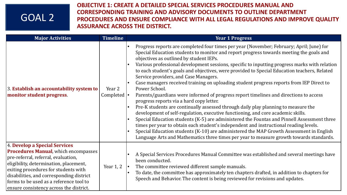**OBJECTIVE 1: CREATE A DETAILED SPECIAL SERVICES PROCEDURES MANUAL AND CORRESPONDING TRAINING AND ADVISORY DOCUMENTS TO OUTLINE DEPARTMENT PROCEDURES AND ENSURE COMPLIANCE WITH ALL LEGAL REGULATIONS AND IMPROVE QUALITY ASSURANCE ACROSS THE DISTRICT.**

| <b>Major Activities</b>                                                                                                                                                                                                                                                                                                                 | <b>Timeline</b>                              | <b>Year 1 Progress</b>                                                                                                                                                                                                                                                                                                                                                                                                                                                                                                                                                                                                                                                                                                                                                                                                                                                                                                                                                                                                                                                                                                                                                                                                                                                                  |
|-----------------------------------------------------------------------------------------------------------------------------------------------------------------------------------------------------------------------------------------------------------------------------------------------------------------------------------------|----------------------------------------------|-----------------------------------------------------------------------------------------------------------------------------------------------------------------------------------------------------------------------------------------------------------------------------------------------------------------------------------------------------------------------------------------------------------------------------------------------------------------------------------------------------------------------------------------------------------------------------------------------------------------------------------------------------------------------------------------------------------------------------------------------------------------------------------------------------------------------------------------------------------------------------------------------------------------------------------------------------------------------------------------------------------------------------------------------------------------------------------------------------------------------------------------------------------------------------------------------------------------------------------------------------------------------------------------|
| 3. Establish an accountability system to<br>monitor student progress.                                                                                                                                                                                                                                                                   | Year 2<br>Completed $\left  \bullet \right $ | Progress reports are completed four times per year (November; February; April; June) for<br>۱e<br>Special Education students to monitor and report progress towards meeting the goals and<br>objectives as outlined by student IEPs.<br>Various professional development sessions, specific to inputting progress marks with relation<br>to each student's goals and objectives, were provided to Special Education teachers, Related<br>Service providers, and Case Managers.<br>Case managers received training on uploading student progress reports from IEP Direct to<br>Power School.<br>Parents/guardians were informed of progress report timelines and directions to access<br>progress reports via a hard copy letter.<br>Pre-K students are continually assessed through daily play planning to measure the<br>development of self-regulation, executive functioning, and core academic skills.<br>Special Education students (K-5) are administered the Fountas and Pinnell Assessment three<br>times per year to obtain each student's independent and instructional reading levels.<br>Special Education students (K-10) are administered the MAP Growth Assessment in English<br>Language Arts and Mathematics three times per year to measure growth towards standards. |
| 4. Develop a Special Services<br><b>Procedures Manual, which encompasses</b><br>pre-referral, referral, evaluation,<br>eligibility, determination, placement,<br>exiting procedures for students with<br>disabilities, and corresponding district<br>forms to be used as a reference tool to<br>ensure consistency across the district. | Year 1, 2                                    | A Special Services Procedures Manual Committee was established and several meetings have<br>been conducted.<br>The committee reviewed different sample manuals.<br>To date, the committee has approximately ten chapters drafted, in addition to chapters for<br>Speech and Behavior. The content is being reviewed for revisions and updates.                                                                                                                                                                                                                                                                                                                                                                                                                                                                                                                                                                                                                                                                                                                                                                                                                                                                                                                                          |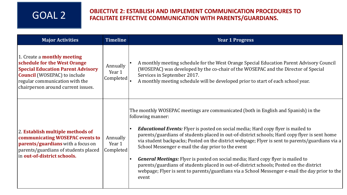## **OBJECTIVE 2: ESTABLISH AND IMPLEMENT COMMUNICATION PROCEDURES TO** GOAL 2 **FACILITATE EFFECTIVE COMMUNICATION WITH PARENTS/GUARDIANS.**

| <b>Major Activities</b>                                                                                                                                                                                                       | <b>Timeline</b>                 | <b>Year 1 Progress</b>                                                                                                                                                                                                                                                                                                                                                                                                                                                                                                                                                                                                                                                                                                                                                     |
|-------------------------------------------------------------------------------------------------------------------------------------------------------------------------------------------------------------------------------|---------------------------------|----------------------------------------------------------------------------------------------------------------------------------------------------------------------------------------------------------------------------------------------------------------------------------------------------------------------------------------------------------------------------------------------------------------------------------------------------------------------------------------------------------------------------------------------------------------------------------------------------------------------------------------------------------------------------------------------------------------------------------------------------------------------------|
| 1. Create a <b>monthly meeting</b><br>schedule for the West Orange<br><b>Special Education Parent Advisory</b><br><b>Council</b> (WOSEPAC) to include<br>regular communication with the<br>chairperson around current issues. | Annually<br>Year 1<br>Completed | A monthly meeting schedule for the West Orange Special Education Parent Advisory Council<br>(WOSEPAC) was developed by the co-chair of the WOSEPAC and the Director of Special<br>Services in September 2017.<br>A monthly meeting schedule will be developed prior to start of each school year.                                                                                                                                                                                                                                                                                                                                                                                                                                                                          |
| 2. Establish multiple methods of<br>communicating WOSEPAC events to<br>parents/guardians with a focus on<br>parents/guardians of students placed<br>in out-of-district schools.                                               | Annually<br>Year 1<br>Completed | The monthly WOSEPAC meetings are communicated (both in English and Spanish) in the<br>following manner:<br><b>Educational Events:</b> Flyer is posted on social media; Hard copy flyer is mailed to<br>parents/guardians of students placed in out-of-district schools; Hard copy flyer is sent home<br>via student backpacks; Posted on the district webpage; Flyer is sent to parents/guardians via a<br>School Messenger e-mail the day prior to the event<br><b>General Meetings:</b> Flyer is posted on social media; Hard copy flyer is mailed to<br>$\bullet$<br>parents/guardians of students placed in out-of-district schools; Posted on the district<br>webpage; Flyer is sent to parents/guardians via a School Messenger e-mail the day prior to the<br>event |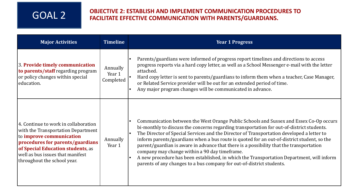## **OBJECTIVE 2: ESTABLISH AND IMPLEMENT COMMUNICATION PROCEDURES TO** GOAL 2 **FACILITATE EFFECTIVE COMMUNICATION WITH PARENTS/GUARDIANS.**

| <b>Major Activities</b>                                                                                                                                                                                                                                           | <b>Timeline</b>                 | <b>Year 1 Progress</b>                                                                                                                                                                                                                                                                                                                                                                                                                                                                                                                                                                                                                                                                           |
|-------------------------------------------------------------------------------------------------------------------------------------------------------------------------------------------------------------------------------------------------------------------|---------------------------------|--------------------------------------------------------------------------------------------------------------------------------------------------------------------------------------------------------------------------------------------------------------------------------------------------------------------------------------------------------------------------------------------------------------------------------------------------------------------------------------------------------------------------------------------------------------------------------------------------------------------------------------------------------------------------------------------------|
| 3. Provide timely communication<br>to parents/staff regarding program<br>or policy changes within special<br>education.                                                                                                                                           | Annually<br>Year 1<br>Completed | Parents/guardians were informed of progress report timelines and directions to access<br>progress reports via a hard copy letter, as well as a School Messenger e-mail with the letter<br>attached.<br>Hard copy letter is sent to parents/guardians to inform them when a teacher, Case Manager,<br>or Related Service provider will be out for an extended period of time.<br>Any major program changes will be communicated in advance.                                                                                                                                                                                                                                                       |
| 4. Continue to work in collaboration<br>with the Transportation Department<br>to <i>improve</i> communication<br>procedures for parents/guardians<br><b>of Special Education students</b> , as<br>well as bus issues that manifest<br>throughout the school year. | Annually<br>Year 1              | Communication between the West Orange Public Schools and Sussex and Essex Co-Op occurs<br>bi-monthly to discuss the concerns regarding transportation for out-of-district students.<br>The Director of Special Services and the Director of Transportation developed a letter to<br>inform parents/guardians when a bus route is quoted for an out-of-district student, so the<br>parent/guardian is aware in advance that there is a possibility that the transportation<br>company may change within a 90 day timeframe.<br>A new procedure has been established, in which the Transportation Department, will inform<br>parents of any changes to a bus company for out-of-district students. |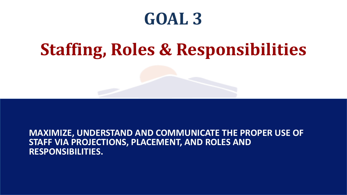# **Staffing, Roles & Responsibilities**

**MAXIMIZE, UNDERSTAND AND COMMUNICATE THE PROPER USE OF STAFF VIA PROJECTIONS, PLACEMENT, AND ROLES AND RESPONSIBILITIES.**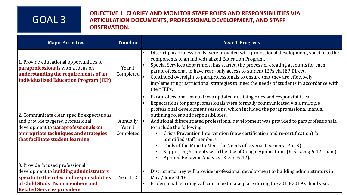#### **OBJECTIVE 1: CLARIFY AND MONITOR STAFF ROLES AND RESPONSIBILITIES VIA ARTICULATION DOCUMENTS, PROFESSIONAL DEVELOPMENT, AND STAFF OBSERVATION.**

| <b>Major Activities</b>                                                                                                                                                                                      | <b>Timeline</b>                 | <b>Year 1 Progress</b>                                                                                                                                                                                                                                                                                                                                                                                                                                                                                                                                                                                                                                                                                                   |
|--------------------------------------------------------------------------------------------------------------------------------------------------------------------------------------------------------------|---------------------------------|--------------------------------------------------------------------------------------------------------------------------------------------------------------------------------------------------------------------------------------------------------------------------------------------------------------------------------------------------------------------------------------------------------------------------------------------------------------------------------------------------------------------------------------------------------------------------------------------------------------------------------------------------------------------------------------------------------------------------|
| 1. Provide educational opportunities to<br><b>paraprofessionals</b> with a focus on<br>understanding the requirements of an<br><b>Individualized Education Program (IEP).</b>                                | Year 1<br>Completed             | District paraprofessionals were provided with professional development, specific to the<br>components of an Individualized Education Program.<br>Special Services department has started the process of creating accounts for each<br>paraprofessional to have read-only access to student IEPs via IEP Direct.<br>Continued oversight to paraprofessionals to ensure that they are effectively<br>implementing instructional strategies to meet the needs of students in accordance with<br>their IEPs.                                                                                                                                                                                                                 |
| 2. Communicate clear, specific expectations<br>and provide targeted professional<br>development to <b>paraprofessionals on</b><br>appropriate techniques and strategies<br>that facilitate student learning. | Annually<br>Year 1<br>Completed | Paraprofessional manual was updated outlining roles and responsibilities.<br>Expectations for paraprofessionals were formally communicated via a multiple<br>professional development sessions, which included the paraprofessional manual<br>outlining roles and responsibilities.<br>Additional differentiated professional development was provided to paraprofessionals,<br>to include the following:<br>Crisis Prevention Intervention (new certification and re-certification) for<br>identified staff members<br>Tools of the Mind to Meet the Needs of Diverse Learners (Pre-K)<br>Supporting Students with the Use of Google Applications (K-5 - a.m.; 6-12 - p.m.)<br>Applied Behavior Analysis (K-5); (6-12). |
| 3. Provide focused professional<br>development to <b>building administrators</b><br>specific to the roles and responsibilities<br>of Child Study Team members and<br><b>Related Services providers</b>       | Year 1, 2                       | District attorney will provide professional development to building administrators in<br>May / June 2018.<br>Professional learning will continue to take place during the 2018-2019 school year.                                                                                                                                                                                                                                                                                                                                                                                                                                                                                                                         |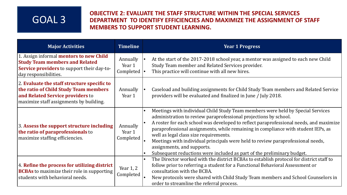#### **OBJECTIVE 2: EVALUATE THE STAFF STRUCTURE WITHIN THE SPECIAL SERVICES DEPARTMENT TO IDENTIFY EFFICIENCIES AND MAXIMIZE THE ASSIGNMENT OF STAFF MEMBERS TO SUPPORT STUDENT LEARNING.**

| <b>Major Activities</b>                                                                                                                                               | <b>Timeline</b>                               | <b>Year 1 Progress</b>                                                                                                                                                                                                                                                                                                                                                                                                                                                                                                                                                               |
|-----------------------------------------------------------------------------------------------------------------------------------------------------------------------|-----------------------------------------------|--------------------------------------------------------------------------------------------------------------------------------------------------------------------------------------------------------------------------------------------------------------------------------------------------------------------------------------------------------------------------------------------------------------------------------------------------------------------------------------------------------------------------------------------------------------------------------------|
| 1. Assign informal <b>mentors to new Child</b><br><b>Study Team members and Related</b><br><b>Service providers</b> to support their day-to-<br>day responsibilities. | Annually<br>Year 1<br>Completed $  \bullet  $ | At the start of the 2017-2018 school year, a mentor was assigned to each new Child<br>Study Team member and Related Services provider.<br>This practice will continue with all new hires.                                                                                                                                                                                                                                                                                                                                                                                            |
| 2. Evaluate the staff structure specific to<br>the ratio of Child Study Team members<br>and Related Service providers to<br>maximize staff assignments by building.   | Annually<br>Year 1                            | Caseload and building assignments for Child Study Team members and Related Service<br>providers will be evaluated and finalized in June / July 2018.                                                                                                                                                                                                                                                                                                                                                                                                                                 |
| 3. Assess the support structure including<br>the ratio of paraprofessionals to<br>maximize staffing efficiencies.                                                     | Annually<br>Year 1<br>Completed               | Meetings with individual Child Study Team members were held by Special Services<br>$\bullet$<br>administration to review paraprofessional projections by school.<br>A roster for each school was developed to reflect paraprofessional needs, and maximize<br>paraprofessional assignments, while remaining in compliance with student IEPs, as<br>well as legal class size requirements.<br>Meetings with individual principals were held to review paraprofessional needs,<br>assignments, and supports.<br>Subsequent reductions were included as part of the preliminary budget. |
| 4. Refine the process for utilizing district<br><b>BCBAs</b> to maximize their role in supporting<br>students with behavioral needs.                                  | Year $1, 2$<br>Completed                      | The Director worked with the district BCBAs to establish protocol for district staff to<br>$\bullet$<br>follow prior to referring a student for a Functional Behavioral Assessment or<br>consultation with the BCBA.<br>New protocols were shared with Child Study Team members and School Counselors in<br>order to streamline the referral process.                                                                                                                                                                                                                                |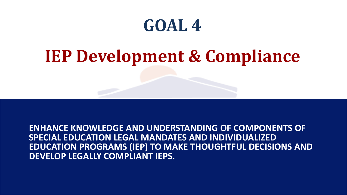# **IEP Development & Compliance**

**ENHANCE KNOWLEDGE AND UNDERSTANDING OF COMPONENTS OF SPECIAL EDUCATION LEGAL MANDATES AND INDIVIDUALIZED EDUCATION PROGRAMS (IEP) TO MAKE THOUGHTFUL DECISIONS AND DEVELOP LEGALLY COMPLIANT IEPS.**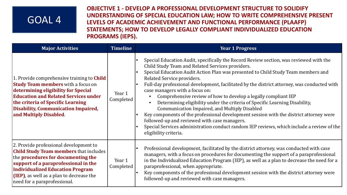**OBJECTIVE 1 - DEVELOP A PROFESSIONAL DEVELOPMENT STRUCTURE TO SOLIDIFY UNDERSTANDING OF SPECIAL EDUCATION LAW; HOW TO WRITE COMPREHENSIVE PRESENT LEVELS OF ACADEMIC ACHIEVEMENT AND FUNCTIONAL PERFORMANCE (PLAAFP) STATEMENTS; HOW TO DEVELOP LEGALLY COMPLIANT INDIVIDUALIZED EDUCATION PROGRAMS (IEPS).**

| <b>Major Activities</b>                                                                                                                                                                                                                                                                           | <b>Timeline</b>     | <b>Year 1 Progress</b>                                                                                                                                                                                                                                                                                                                                                                                                                                                                                                                                                                                                                                                                                                                                                                                                                                                                                               |
|---------------------------------------------------------------------------------------------------------------------------------------------------------------------------------------------------------------------------------------------------------------------------------------------------|---------------------|----------------------------------------------------------------------------------------------------------------------------------------------------------------------------------------------------------------------------------------------------------------------------------------------------------------------------------------------------------------------------------------------------------------------------------------------------------------------------------------------------------------------------------------------------------------------------------------------------------------------------------------------------------------------------------------------------------------------------------------------------------------------------------------------------------------------------------------------------------------------------------------------------------------------|
| 1. Provide comprehensive training to <b>Child</b><br><b>Study Team members</b> with a focus on<br>determining eligibility for Special<br><b>Education and Related Services under</b><br>the criteria of Specific Learning<br><b>Disability, Communication Impaired,</b><br>and Multiply Disabled. | Year 1<br>Completed | Special Education Audit, specifically the Record Review section, was reviewed with the<br>$\bullet$<br>Child Study Team and Related Services providers.<br>Special Education Audit Action Plan was presented to Child Study Team members and<br>$\bullet$<br>Related Service providers.<br>Full-day professional development, facilitated by the district attorney, was conducted with<br>$\bullet$<br>case managers with a focus on:<br>Comprehensive review of how to develop a legally compliant IEP<br>Determining eligibility under the criteria of Specific Learning Disability,<br>Communication Impaired, and Multiply Disabled<br>Key components of the professional development session with the district attorney were<br>followed-up and reviewed with case managers.<br>Special Services administration conduct random IEP reviews, which include a review of the<br>$\bullet$<br>eligibility criteria. |
| 2. Provide professional development to<br><b>Child Study Team members that includes</b><br>the procedures for documenting the<br>support of a paraprofessional in the<br><b>Individualized Education Program</b><br>(IEP), as well as a plan to decrease the<br>need for a paraprofessional.      | Year 1<br>Completed | Professional development, facilitated by the district attorney, was conducted with case<br>$\bullet$<br>managers, with a focus on procedures for documenting the support of a paraprofessional<br>in the Individualized Education Program (IEP), as well as a plan to decrease the need for a<br>paraprofessional, when appropriate.<br>Key components of the professional development session with the district attorney were<br>$\bullet$<br>followed-up and reviewed with case managers.                                                                                                                                                                                                                                                                                                                                                                                                                          |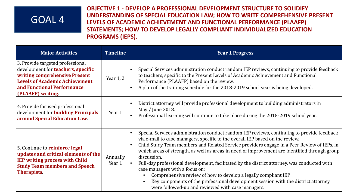**OBJECTIVE 1 - DEVELOP A PROFESSIONAL DEVELOPMENT STRUCTURE TO SOLIDIFY UNDERSTANDING OF SPECIAL EDUCATION LAW; HOW TO WRITE COMPREHENSIVE PRESENT LEVELS OF ACADEMIC ACHIEVEMENT AND FUNCTIONAL PERFORMANCE (PLAAFP) STATEMENTS; HOW TO DEVELOP LEGALLY COMPLIANT INDIVIDUALIZED EDUCATION PROGRAMS (IEPS).**

| <b>Major Activities</b>                                                                                                                                                                                    | <b>Timeline</b>    | <b>Year 1 Progress</b>                                                                                                                                                                                                                                                                                                                                                                                                                                                                                                                                                                                                                                                                                                                                                                     |  |
|------------------------------------------------------------------------------------------------------------------------------------------------------------------------------------------------------------|--------------------|--------------------------------------------------------------------------------------------------------------------------------------------------------------------------------------------------------------------------------------------------------------------------------------------------------------------------------------------------------------------------------------------------------------------------------------------------------------------------------------------------------------------------------------------------------------------------------------------------------------------------------------------------------------------------------------------------------------------------------------------------------------------------------------------|--|
| 3. Provide targeted professional<br>development for <b>teachers</b> , specific<br><b>writing comprehensive Present</b><br>Levels of Academic Achievement<br>and Functional Performance<br>(PLAAFP) writing | Year $1, 2$        | Special Services administration conduct random IEP reviews, continuing to provide feedback<br>to teachers, specific to the Present Levels of Academic Achievement and Functional<br>Performance (PLAAFP) based on the review.<br>A plan of the training schedule for the 2018-2019 school year is being developed.                                                                                                                                                                                                                                                                                                                                                                                                                                                                         |  |
| 4. Provide focused professional<br>development for <b>building Principals</b><br><b>around Special Education Law.</b>                                                                                      | Year 1             | District attorney will provide professional development to building administrators in<br>May / June 2018.<br>Professional learning will continue to take place during the 2018-2019 school year.                                                                                                                                                                                                                                                                                                                                                                                                                                                                                                                                                                                           |  |
| 5. Continue to reinforce legal<br>updates and critical elements of the<br><b>IEP writing process with Child</b><br><b>Study Team members and Speech</b><br><b>Therapists</b>                               | Annually<br>Year 1 | Special Services administration conduct random IEP reviews, continuing to provide feedback<br>$\bullet$<br>via e-mail to case managers, specific to the overall IEP based on the review.<br>Child Study Team members and Related Service providers engage in a Peer Review of IEPs, in<br>$\bullet$<br>which areas of strength, as well as areas in need of improvement are identified through group<br>discussion.<br>Full-day professional development, facilitated by the district attorney, was conducted with<br>case managers with a focus on:<br>Comprehensive review of how to develop a legally compliant IEP<br>$\bullet$<br>Key components of the professional development session with the district attorney<br>$\bullet$<br>were followed-up and reviewed with case managers. |  |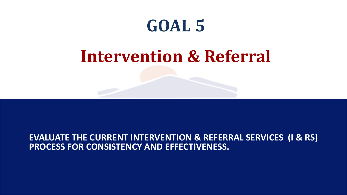# **Intervention & Referral**

#### **EVALUATE THE CURRENT INTERVENTION & REFERRAL SERVICES (I & RS) PROCESS FOR CONSISTENCY AND EFFECTIVENESS.**